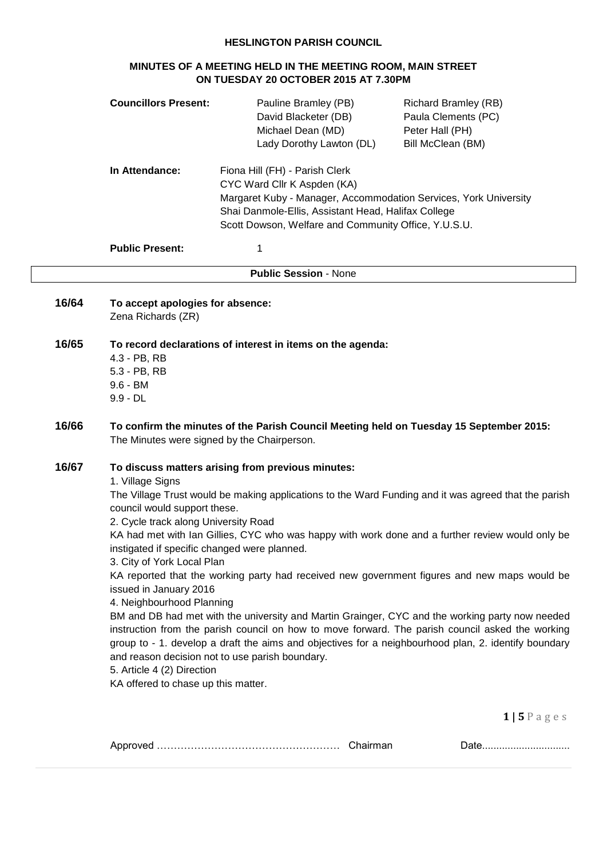### **HESLINGTON PARISH COUNCIL**

# **MINUTES OF A MEETING HELD IN THE MEETING ROOM, MAIN STREET ON TUESDAY 20 OCTOBER 2015 AT 7.30PM**

|       | <b>Councillors Present:</b>                                                                                                                                                                                                                                                                                                                                                                                                                                                                                                                                                                                                                                                                                                                                                                                                                                                                                                                                                                                                                                                          | Pauline Bramley (PB)<br>David Blacketer (DB)<br>Michael Dean (MD)<br>Lady Dorothy Lawton (DL)                                                                                                                                                    | <b>Richard Bramley (RB)</b><br>Paula Clements (PC)<br>Peter Hall (PH)<br>Bill McClean (BM) |
|-------|--------------------------------------------------------------------------------------------------------------------------------------------------------------------------------------------------------------------------------------------------------------------------------------------------------------------------------------------------------------------------------------------------------------------------------------------------------------------------------------------------------------------------------------------------------------------------------------------------------------------------------------------------------------------------------------------------------------------------------------------------------------------------------------------------------------------------------------------------------------------------------------------------------------------------------------------------------------------------------------------------------------------------------------------------------------------------------------|--------------------------------------------------------------------------------------------------------------------------------------------------------------------------------------------------------------------------------------------------|--------------------------------------------------------------------------------------------|
|       | In Attendance:                                                                                                                                                                                                                                                                                                                                                                                                                                                                                                                                                                                                                                                                                                                                                                                                                                                                                                                                                                                                                                                                       | Fiona Hill (FH) - Parish Clerk<br>CYC Ward Cllr K Aspden (KA)<br>Margaret Kuby - Manager, Accommodation Services, York University<br>Shai Danmole-Ellis, Assistant Head, Halifax College<br>Scott Dowson, Welfare and Community Office, Y.U.S.U. |                                                                                            |
|       | <b>Public Present:</b>                                                                                                                                                                                                                                                                                                                                                                                                                                                                                                                                                                                                                                                                                                                                                                                                                                                                                                                                                                                                                                                               | 1                                                                                                                                                                                                                                                |                                                                                            |
|       |                                                                                                                                                                                                                                                                                                                                                                                                                                                                                                                                                                                                                                                                                                                                                                                                                                                                                                                                                                                                                                                                                      | <b>Public Session - None</b>                                                                                                                                                                                                                     |                                                                                            |
| 16/64 | To accept apologies for absence:<br>Zena Richards (ZR)                                                                                                                                                                                                                                                                                                                                                                                                                                                                                                                                                                                                                                                                                                                                                                                                                                                                                                                                                                                                                               |                                                                                                                                                                                                                                                  |                                                                                            |
| 16/65 | 4.3 - PB, RB<br>5.3 - PB, RB<br>$9.6 - BM$<br>$9.9 - DL$                                                                                                                                                                                                                                                                                                                                                                                                                                                                                                                                                                                                                                                                                                                                                                                                                                                                                                                                                                                                                             | To record declarations of interest in items on the agenda:                                                                                                                                                                                       |                                                                                            |
| 16/66 |                                                                                                                                                                                                                                                                                                                                                                                                                                                                                                                                                                                                                                                                                                                                                                                                                                                                                                                                                                                                                                                                                      | To confirm the minutes of the Parish Council Meeting held on Tuesday 15 September 2015:                                                                                                                                                          |                                                                                            |
| 16/67 | The Minutes were signed by the Chairperson.<br>To discuss matters arising from previous minutes:<br>1. Village Signs<br>The Village Trust would be making applications to the Ward Funding and it was agreed that the parish<br>council would support these.<br>2. Cycle track along University Road<br>KA had met with Ian Gillies, CYC who was happy with work done and a further review would only be<br>instigated if specific changed were planned.<br>3. City of York Local Plan<br>KA reported that the working party had received new government figures and new maps would be<br>issued in January 2016<br>4. Neighbourhood Planning<br>BM and DB had met with the university and Martin Grainger, CYC and the working party now needed<br>instruction from the parish council on how to move forward. The parish council asked the working<br>group to - 1. develop a draft the aims and objectives for a neighbourhood plan, 2. identify boundary<br>and reason decision not to use parish boundary.<br>5. Article 4 (2) Direction<br>KA offered to chase up this matter. |                                                                                                                                                                                                                                                  |                                                                                            |
|       |                                                                                                                                                                                                                                                                                                                                                                                                                                                                                                                                                                                                                                                                                                                                                                                                                                                                                                                                                                                                                                                                                      |                                                                                                                                                                                                                                                  | $1 \mid 5 \mid$ ages                                                                       |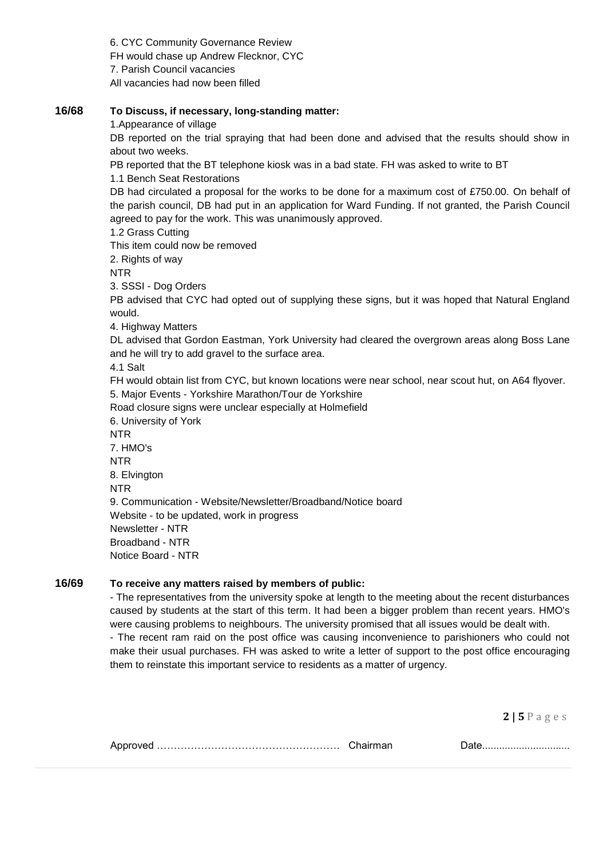6. CYC Community Governance Review FH would chase up Andrew Flecknor, CYC 7. Parish Council vacancies All vacancies had now been filled

# **16/68 To Discuss, if necessary, long-standing matter:**

1.Appearance of village

DB reported on the trial spraying that had been done and advised that the results should show in about two weeks.

PB reported that the BT telephone kiosk was in a bad state. FH was asked to write to BT

1.1 Bench Seat Restorations

DB had circulated a proposal for the works to be done for a maximum cost of £750.00. On behalf of the parish council, DB had put in an application for Ward Funding. If not granted, the Parish Council agreed to pay for the work. This was unanimously approved.

1.2 Grass Cutting

This item could now be removed

2. Rights of way

NTR

3. SSSI - Dog Orders

PB advised that CYC had opted out of supplying these signs, but it was hoped that Natural England would.

4. Highway Matters

DL advised that Gordon Eastman, York University had cleared the overgrown areas along Boss Lane and he will try to add gravel to the surface area.

4.1 Salt

FH would obtain list from CYC, but known locations were near school, near scout hut, on A64 flyover. 5. Major Events - Yorkshire Marathon/Tour de Yorkshire

Road closure signs were unclear especially at Holmefield

6. University of York

NTR

7. HMO's NTR 8. Elvington

NTR

9. Communication - Website/Newsletter/Broadband/Notice board Website - to be updated, work in progress

Newsletter - NTR Broadband - NTR

Notice Board - NTR

### **16/69 To receive any matters raised by members of public:**

- The representatives from the university spoke at length to the meeting about the recent disturbances caused by students at the start of this term. It had been a bigger problem than recent years. HMO's were causing problems to neighbours. The university promised that all issues would be dealt with.

- The recent ram raid on the post office was causing inconvenience to parishioners who could not make their usual purchases. FH was asked to write a letter of support to the post office encouraging them to reinstate this important service to residents as a matter of urgency.

**2 | 5** P a g e s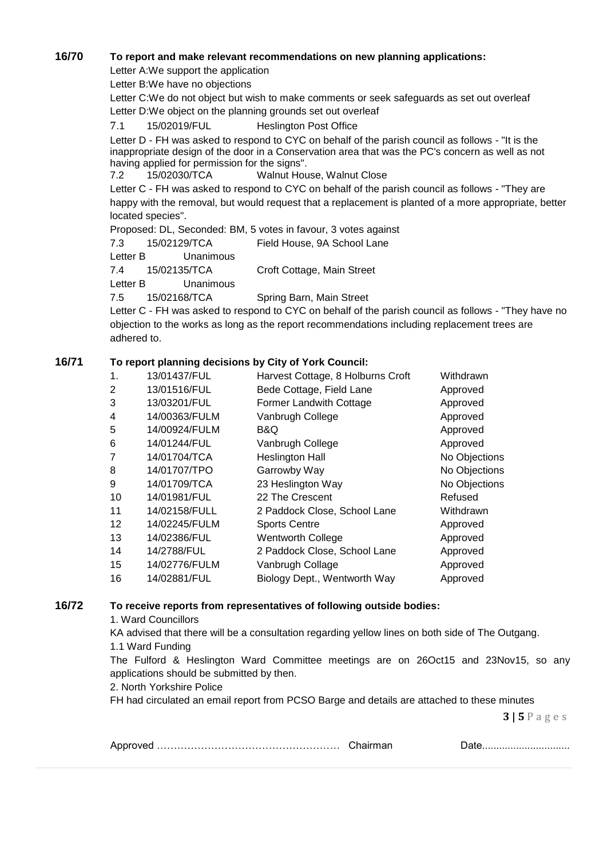## **16/70 To report and make relevant recommendations on new planning applications:**

Letter A:We support the application

Letter B:We have no objections

Letter C:We do not object but wish to make comments or seek safeguards as set out overleaf Letter D:We object on the planning grounds set out overleaf

7.1 15/02019/FUL Heslington Post Office

Letter D - FH was asked to respond to CYC on behalf of the parish council as follows - "It is the inappropriate design of the door in a Conservation area that was the PC's concern as well as not having applied for permission for the signs".

7.2 15/02030/TCA Walnut House, Walnut Close

Letter C - FH was asked to respond to CYC on behalf of the parish council as follows - "They are happy with the removal, but would request that a replacement is planted of a more appropriate, better located species".

Proposed: DL, Seconded: BM, 5 votes in favour, 3 votes against

7.3 15/02129/TCA Field House, 9A School Lane

Letter B Unanimous

7.4 15/02135/TCA Croft Cottage, Main Street

Letter B Unanimous

7.5 15/02168/TCA Spring Barn, Main Street

Letter C - FH was asked to respond to CYC on behalf of the parish council as follows - "They have no objection to the works as long as the report recommendations including replacement trees are adhered to.

## **16/71 To report planning decisions by City of York Council:**

| 1.             | 13/01437/FUL  | Harvest Cottage, 8 Holburns Croft | Withdrawn     |
|----------------|---------------|-----------------------------------|---------------|
| 2              | 13/01516/FUL  | Bede Cottage, Field Lane          | Approved      |
| 3              | 13/03201/FUL  | Former Landwith Cottage           | Approved      |
| 4              | 14/00363/FULM | Vanbrugh College                  | Approved      |
| 5              | 14/00924/FULM | B&Q                               | Approved      |
| 6              | 14/01244/FUL  | Vanbrugh College                  | Approved      |
| $\overline{7}$ | 14/01704/TCA  | <b>Heslington Hall</b>            | No Objections |
| 8              | 14/01707/TPO  | Garrowby Way                      | No Objections |
| 9              | 14/01709/TCA  | 23 Heslington Way                 | No Objections |
| 10             | 14/01981/FUL  | 22 The Crescent                   | Refused       |
| 11             | 14/02158/FULL | 2 Paddock Close, School Lane      | Withdrawn     |
| 12             | 14/02245/FULM | <b>Sports Centre</b>              | Approved      |
| 13             | 14/02386/FUL  | <b>Wentworth College</b>          | Approved      |
| 14             | 14/2788/FUL   | 2 Paddock Close, School Lane      | Approved      |
| 15             | 14/02776/FULM | Vanbrugh Collage                  | Approved      |
| 16             | 14/02881/FUL  | Biology Dept., Wentworth Way      | Approved      |
|                |               |                                   |               |

## **16/72 To receive reports from representatives of following outside bodies:**

1. Ward Councillors

KA advised that there will be a consultation regarding yellow lines on both side of The Outgang. 1.1 Ward Funding

The Fulford & Heslington Ward Committee meetings are on 26Oct15 and 23Nov15, so any applications should be submitted by then.

2. North Yorkshire Police

FH had circulated an email report from PCSO Barge and details are attached to these minutes

**3 | 5** P a g e s

|--|--|--|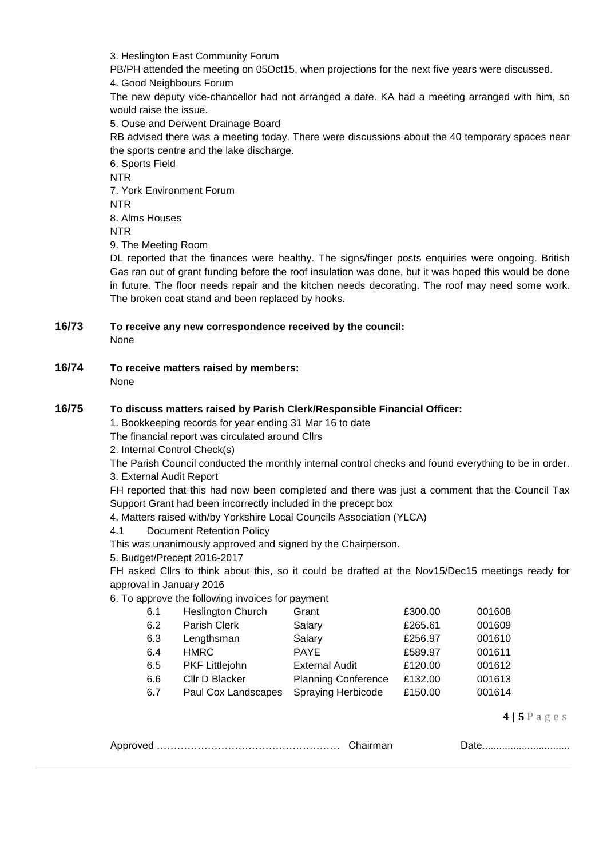3. Heslington East Community Forum

PB/PH attended the meeting on 05Oct15, when projections for the next five years were discussed.

4. Good Neighbours Forum

The new deputy vice-chancellor had not arranged a date. KA had a meeting arranged with him, so would raise the issue.

5. Ouse and Derwent Drainage Board

RB advised there was a meeting today. There were discussions about the 40 temporary spaces near the sports centre and the lake discharge.

6. Sports Field NTR 7. York Environment Forum NTR 8. Alms Houses NTR 9. The Meeting Room

DL reported that the finances were healthy. The signs/finger posts enquiries were ongoing. British Gas ran out of grant funding before the roof insulation was done, but it was hoped this would be done in future. The floor needs repair and the kitchen needs decorating. The roof may need some work. The broken coat stand and been replaced by hooks.

# **16/73 To receive any new correspondence received by the council:**

None

**16/74 To receive matters raised by members:** None

# **16/75 To discuss matters raised by Parish Clerk/Responsible Financial Officer:**

1. Bookkeeping records for year ending 31 Mar 16 to date

The financial report was circulated around Cllrs

2. Internal Control Check(s)

The Parish Council conducted the monthly internal control checks and found everything to be in order. 3. External Audit Report

FH reported that this had now been completed and there was just a comment that the Council Tax Support Grant had been incorrectly included in the precept box

4. Matters raised with/by Yorkshire Local Councils Association (YLCA)

4.1 Document Retention Policy

This was unanimously approved and signed by the Chairperson.

5. Budget/Precept 2016-2017

FH asked Cllrs to think about this, so it could be drafted at the Nov15/Dec15 meetings ready for approval in January 2016

## 6. To approve the following invoices for payment

| 6.1 | <b>Heslington Church</b> | Grant                      | £300.00 | 001608 |
|-----|--------------------------|----------------------------|---------|--------|
| 6.2 | Parish Clerk             | Salary                     | £265.61 | 001609 |
| 6.3 | Lengthsman               | Salary                     | £256.97 | 001610 |
| 6.4 | <b>HMRC</b>              | <b>PAYE</b>                | £589.97 | 001611 |
| 6.5 | <b>PKF Littlejohn</b>    | <b>External Audit</b>      | £120.00 | 001612 |
| 6.6 | Cllr D Blacker           | <b>Planning Conference</b> | £132.00 | 001613 |
| 6.7 | Paul Cox Landscapes      | Spraying Herbicode         | £150.00 | 001614 |
|     |                          |                            |         |        |

**4 | 5** P a g e s